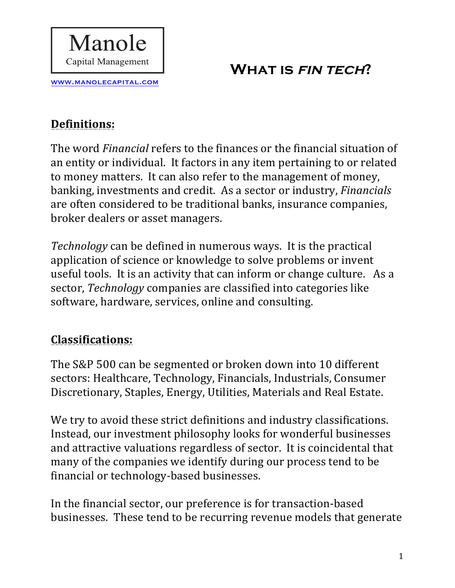

#### **Definitions:**

www.manolecapital.com

Manole

Capital Management

The word *Financial* refers to the finances or the financial situation of an entity or individual. It factors in any item pertaining to or related to money matters. It can also refer to the management of money, banking, investments and credit. As a sector or industry, *Financials* are often considered to be traditional banks, insurance companies, broker dealers or asset managers.

*Technology* can be defined in numerous ways. It is the practical application of science or knowledge to solve problems or invent useful tools. It is an activity that can inform or change culture. As a sector, *Technology* companies are classified into categories like software, hardware, services, online and consulting.

#### **Classifications:**

The S&P 500 can be segmented or broken down into 10 different sectors: Healthcare, Technology, Financials, Industrials, Consumer Discretionary, Staples, Energy, Utilities, Materials and Real Estate.

We try to avoid these strict definitions and industry classifications. Instead, our investment philosophy looks for wonderful businesses and attractive valuations regardless of sector. It is coincidental that many of the companies we identify during our process tend to be financial or technology-based businesses.

In the financial sector, our preference is for transaction-based businesses. These tend to be recurring revenue models that generate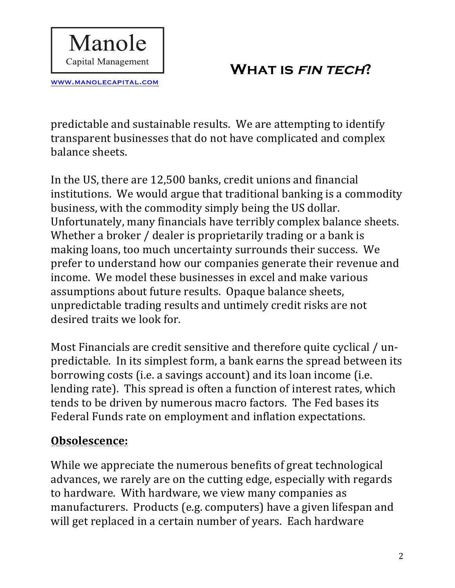www.manolecapital.com

Manole

Capital Management

predictable and sustainable results. We are attempting to identify transparent businesses that do not have complicated and complex balance sheets.

In the US, there are 12,500 banks, credit unions and financial institutions. We would argue that traditional banking is a commodity business, with the commodity simply being the US dollar. Unfortunately, many financials have terribly complex balance sheets. Whether a broker / dealer is proprietarily trading or a bank is making loans, too much uncertainty surrounds their success. We prefer to understand how our companies generate their revenue and income. We model these businesses in excel and make various assumptions about future results. Opaque balance sheets, unpredictable trading results and untimely credit risks are not desired traits we look for.

Most Financials are credit sensitive and therefore quite cyclical / unpredictable. In its simplest form, a bank earns the spread between its borrowing costs (i.e. a savings account) and its loan income (i.e. lending rate). This spread is often a function of interest rates, which tends to be driven by numerous macro factors. The Fed bases its Federal Funds rate on employment and inflation expectations.

#### **Obsolescence:**

While we appreciate the numerous benefits of great technological advances, we rarely are on the cutting edge, especially with regards to hardware. With hardware, we view many companies as manufacturers. Products (e.g. computers) have a given lifespan and will get replaced in a certain number of years. Each hardware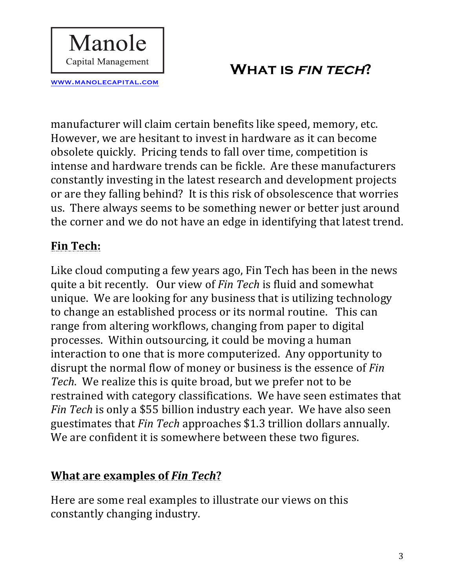manufacturer will claim certain benefits like speed, memory, etc. However, we are hesitant to invest in hardware as it can become obsolete quickly. Pricing tends to fall over time, competition is intense and hardware trends can be fickle. Are these manufacturers constantly investing in the latest research and development projects or are they falling behind? It is this risk of obsolescence that worries us. There always seems to be something newer or better just around the corner and we do not have an edge in identifying that latest trend.

#### **Fin Tech:**

www.manolecapital.com

Manole

**Capital Management** 

Like cloud computing a few years ago, Fin Tech has been in the news quite a bit recently. Our view of *Fin Tech* is fluid and somewhat unique. We are looking for any business that is utilizing technology to change an established process or its normal routine. This can range from altering workflows, changing from paper to digital processes. Within outsourcing, it could be moving a human interaction to one that is more computerized. Any opportunity to disrupt the normal flow of money or business is the essence of *Fin Tech*. We realize this is quite broad, but we prefer not to be restrained with category classifications. We have seen estimates that *Fin Tech* is only a \$55 billion industry each year. We have also seen guestimates that *Fin Tech* approaches \$1.3 trillion dollars annually. We are confident it is somewhere between these two figures.

## **What are examples of Fin Tech?**

Here are some real examples to illustrate our views on this constantly changing industry.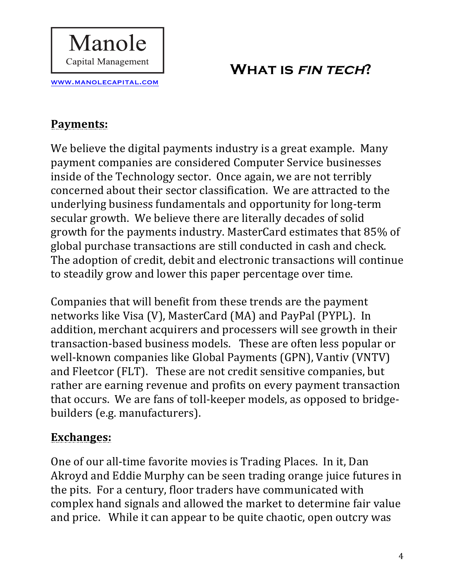# **Payments:**

www.manolecapital.com

Manole

Capital Management

We believe the digital payments industry is a great example. Many payment companies are considered Computer Service businesses inside of the Technology sector. Once again, we are not terribly concerned about their sector classification. We are attracted to the underlying business fundamentals and opportunity for long-term secular growth. We believe there are literally decades of solid growth for the payments industry. MasterCard estimates that 85% of global purchase transactions are still conducted in cash and check. The adoption of credit, debit and electronic transactions will continue to steadily grow and lower this paper percentage over time.

Companies that will benefit from these trends are the payment networks like Visa (V), MasterCard (MA) and PayPal (PYPL). In addition, merchant acquirers and processers will see growth in their transaction-based business models. These are often less popular or well-known companies like Global Payments (GPN), Vantiv (VNTV) and Fleetcor (FLT). These are not credit sensitive companies, but rather are earning revenue and profits on every payment transaction that occurs. We are fans of toll-keeper models, as opposed to bridgebuilders (e.g. manufacturers).

#### **Exchanges:**

One of our all-time favorite movies is Trading Places. In it, Dan Akroyd and Eddie Murphy can be seen trading orange juice futures in the pits. For a century, floor traders have communicated with complex hand signals and allowed the market to determine fair value and price. While it can appear to be quite chaotic, open outcry was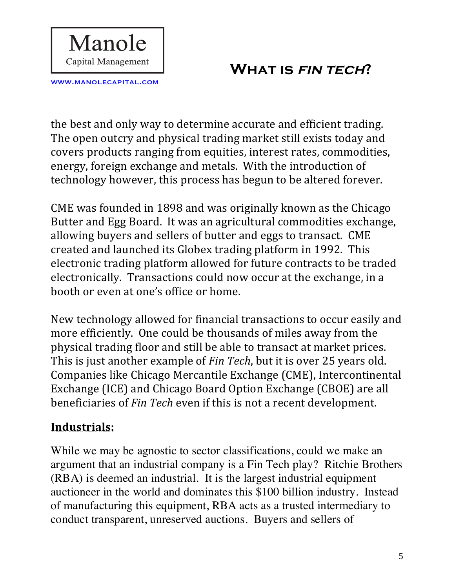www.manolecapital.com

Manole

Capital Management

the best and only way to determine accurate and efficient trading. The open outcry and physical trading market still exists today and covers products ranging from equities, interest rates, commodities, energy, foreign exchange and metals. With the introduction of technology however, this process has begun to be altered forever.

CME was founded in 1898 and was originally known as the Chicago Butter and Egg Board. It was an agricultural commodities exchange, allowing buyers and sellers of butter and eggs to transact. CME created and launched its Globex trading platform in 1992. This electronic trading platform allowed for future contracts to be traded electronically. Transactions could now occur at the exchange, in a booth or even at one's office or home.

New technology allowed for financial transactions to occur easily and more efficiently. One could be thousands of miles away from the physical trading floor and still be able to transact at market prices. This is just another example of *Fin Tech*, but it is over 25 years old. Companies like Chicago Mercantile Exchange (CME), Intercontinental Exchange (ICE) and Chicago Board Option Exchange (CBOE) are all beneficiaries of *Fin Tech* even if this is not a recent development.

#### **Industrials:**

While we may be agnostic to sector classifications, could we make an argument that an industrial company is a Fin Tech play? Ritchie Brothers (RBA) is deemed an industrial. It is the largest industrial equipment auctioneer in the world and dominates this \$100 billion industry. Instead of manufacturing this equipment, RBA acts as a trusted intermediary to conduct transparent, unreserved auctions. Buyers and sellers of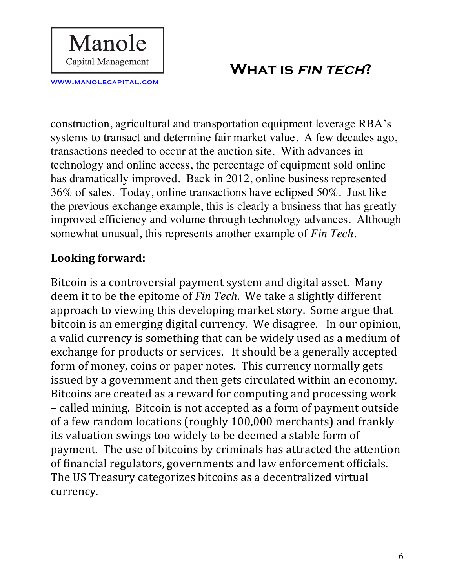construction, agricultural and transportation equipment leverage RBA's systems to transact and determine fair market value. A few decades ago, transactions needed to occur at the auction site. With advances in technology and online access, the percentage of equipment sold online has dramatically improved. Back in 2012, online business represented 36% of sales. Today, online transactions have eclipsed 50%. Just like the previous exchange example, this is clearly a business that has greatly improved efficiency and volume through technology advances. Although somewhat unusual, this represents another example of *Fin Tech.*

#### Looking forward:

www.manolecapital.com

Manole

**Capital Management** 

Bitcoin is a controversial payment system and digital asset. Many deem it to be the epitome of *Fin Tech*. We take a slightly different approach to viewing this developing market story. Some argue that bitcoin is an emerging digital currency. We disagree. In our opinion, a valid currency is something that can be widely used as a medium of exchange for products or services. It should be a generally accepted form of money, coins or paper notes. This currency normally gets issued by a government and then gets circulated within an economy. Bitcoins are created as a reward for computing and processing work – called mining. Bitcoin is not accepted as a form of payment outside of a few random locations (roughly 100,000 merchants) and frankly its valuation swings too widely to be deemed a stable form of payment. The use of bitcoins by criminals has attracted the attention of financial regulators, governments and law enforcement officials. The US Treasury categorizes bitcoins as a decentralized virtual currency.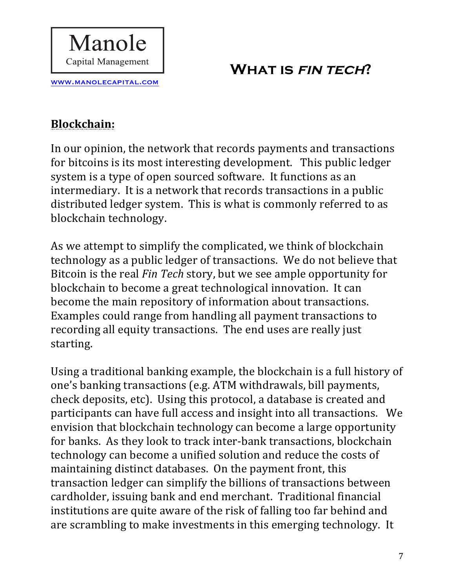# **Blockchain:**

www.manolecapital.com

Manole

Capital Management

In our opinion, the network that records payments and transactions for bitcoins is its most interesting development. This public ledger system is a type of open sourced software. It functions as an intermediary. It is a network that records transactions in a public distributed ledger system. This is what is commonly referred to as blockchain technology.

As we attempt to simplify the complicated, we think of blockchain technology as a public ledger of transactions. We do not believe that Bitcoin is the real *Fin Tech* story, but we see ample opportunity for blockchain to become a great technological innovation. It can become the main repository of information about transactions. Examples could range from handling all payment transactions to recording all equity transactions. The end uses are really just starting. 

Using a traditional banking example, the blockchain is a full history of one's banking transactions (e.g. ATM withdrawals, bill payments, check deposits, etc). Using this protocol, a database is created and participants can have full access and insight into all transactions. We envision that blockchain technology can become a large opportunity for banks. As they look to track inter-bank transactions, blockchain technology can become a unified solution and reduce the costs of maintaining distinct databases. On the payment front, this transaction ledger can simplify the billions of transactions between cardholder, issuing bank and end merchant. Traditional financial institutions are quite aware of the risk of falling too far behind and are scrambling to make investments in this emerging technology. It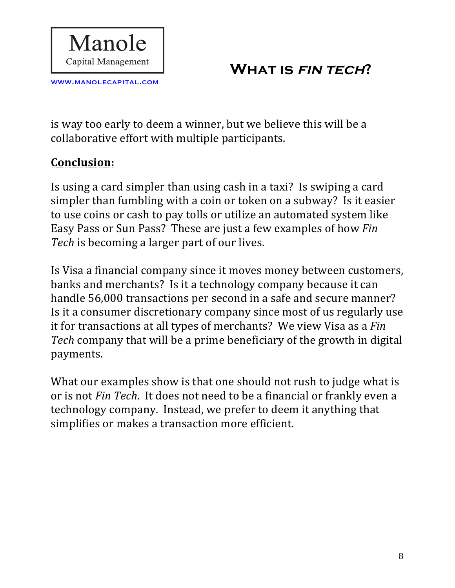is way too early to deem a winner, but we believe this will be a collaborative effort with multiple participants.

#### **Conclusion:**

www.manolecapital.com

Manole

Capital Management

Is using a card simpler than using cash in a taxi? Is swiping a card simpler than fumbling with a coin or token on a subway? Is it easier to use coins or cash to pay tolls or utilize an automated system like Easy Pass or Sun Pass? These are just a few examples of how Fin Tech is becoming a larger part of our lives.

Is Visa a financial company since it moves money between customers, banks and merchants? Is it a technology company because it can handle 56,000 transactions per second in a safe and secure manner? Is it a consumer discretionary company since most of us regularly use it for transactions at all types of merchants? We view Visa as a *Fin* Tech company that will be a prime beneficiary of the growth in digital payments. 

What our examples show is that one should not rush to judge what is or is not *Fin Tech*. It does not need to be a financial or frankly even a technology company. Instead, we prefer to deem it anything that simplifies or makes a transaction more efficient.